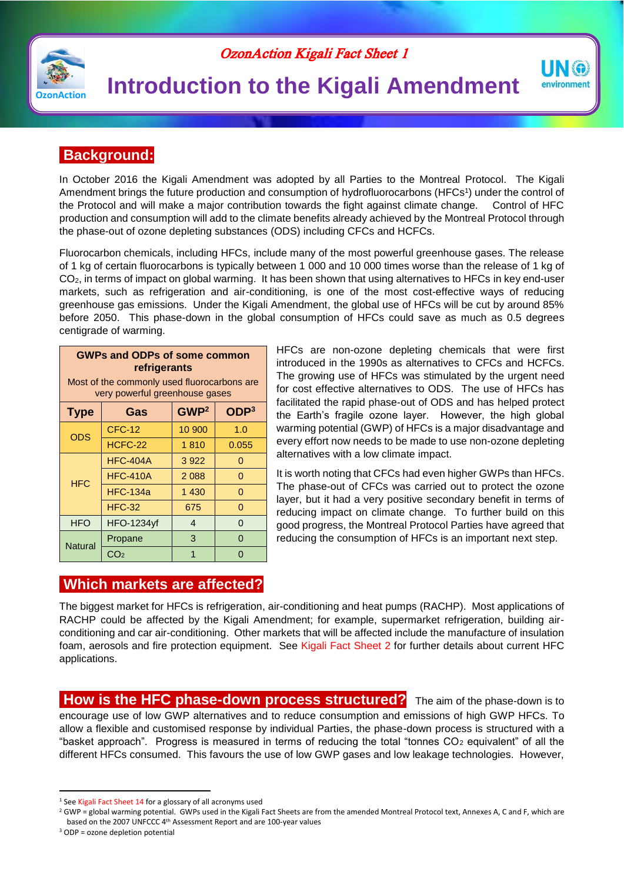#### OzonAction Kigali Fact Sheet 1



# **Introduction to the Kigali Amendment**

### **Background:**

In October 2016 the Kigali Amendment was adopted by all Parties to the Montreal Protocol. The Kigali Amendment brings the future production and consumption of hydrofluorocarbons (HFCs<sup>1</sup>) under the control of the Protocol and will make a major contribution towards the fight against climate change. Control of HFC production and consumption will add to the climate benefits already achieved by the Montreal Protocol through the phase-out of ozone depleting substances (ODS) including CFCs and HCFCs.

Fluorocarbon chemicals, including HFCs, include many of the most powerful greenhouse gases. The release of 1 kg of certain fluorocarbons is typically between 1 000 and 10 000 times worse than the release of 1 kg of  $CO<sub>2</sub>$ , in terms of impact on global warming. It has been shown that using alternatives to HFCs in key end-user markets, such as refrigeration and air-conditioning, is one of the most cost-effective ways of reducing greenhouse gas emissions. Under the Kigali Amendment, the global use of HFCs will be cut by around 85% before 2050. This phase-down in the global consumption of HFCs could save as much as 0.5 degrees centigrade of warming.

| <b>GWPs and ODPs of some common</b><br>refrigerants<br>Most of the commonly used fluorocarbons are |                   |                  |                  |  |
|----------------------------------------------------------------------------------------------------|-------------------|------------------|------------------|--|
| very powerful greenhouse gases                                                                     |                   |                  |                  |  |
| <b>Type</b>                                                                                        | Gas               | GWP <sup>2</sup> | ODP <sup>3</sup> |  |
| <b>ODS</b>                                                                                         | <b>CFC-12</b>     | 10 900           | 1.0              |  |
|                                                                                                    | HCFC-22           | 1810             | 0.055            |  |
| <b>HFC</b>                                                                                         | <b>HFC-404A</b>   | 3922             | 0                |  |
|                                                                                                    | <b>HFC-410A</b>   | 2088             | 0                |  |
|                                                                                                    | <b>HFC-134a</b>   | 1 4 3 0          | $\Omega$         |  |
|                                                                                                    | <b>HFC-32</b>     | 675              | 0                |  |
| <b>HFO</b>                                                                                         | <b>HFO-1234yf</b> | $\overline{4}$   | $\Omega$         |  |
| <b>Natural</b>                                                                                     | Propane           | 3                | 0                |  |
|                                                                                                    | CO <sub>2</sub>   | 1                | ∩                |  |

HFCs are non-ozone depleting chemicals that were first introduced in the 1990s as alternatives to CFCs and HCFCs. The growing use of HFCs was stimulated by the urgent need for cost effective alternatives to ODS. The use of HFCs has facilitated the rapid phase-out of ODS and has helped protect the Earth's fragile ozone layer. However, the high global warming potential (GWP) of HFCs is a major disadvantage and every effort now needs to be made to use non-ozone depleting alternatives with a low climate impact.

**UNG** environment

It is worth noting that CFCs had even higher GWPs than HFCs. The phase-out of CFCs was carried out to protect the ozone layer, but it had a very positive secondary benefit in terms of reducing impact on climate change. To further build on this good progress, the Montreal Protocol Parties have agreed that reducing the consumption of HFCs is an important next step.

#### **Which markets are affected?**

The biggest market for HFCs is refrigeration, air-conditioning and heat pumps (RACHP). Most applications of RACHP could be affected by the Kigali Amendment; for example, supermarket refrigeration, building airconditioning and car air-conditioning. Other markets that will be affected include the manufacture of insulation foam, aerosols and fire protection equipment. See Kigali Fact Sheet 2 for further details about current HFC applications.

**How is the HFC phase-down process structured?** The aim of the phase-down is to encourage use of low GWP alternatives and to reduce consumption and emissions of high GWP HFCs. To allow a flexible and customised response by individual Parties, the phase-down process is structured with a "basket approach". Progress is measured in terms of reducing the total "tonnes  $CO<sub>2</sub>$  equivalent" of all the different HFCs consumed. This favours the use of low GWP gases and low leakage technologies. However,

**.** 

<sup>&</sup>lt;sup>1</sup> See Kigali Fact Sheet 14 for a glossary of all acronyms used

<sup>&</sup>lt;sup>2</sup> GWP = global warming potential. GWPs used in the Kigali Fact Sheets are from the amended Montreal Protocol text. Annexes A, C and F, which are based on the 2007 UNFCCC 4th Assessment Report and are 100-year values

 $3$  ODP = ozone depletion potential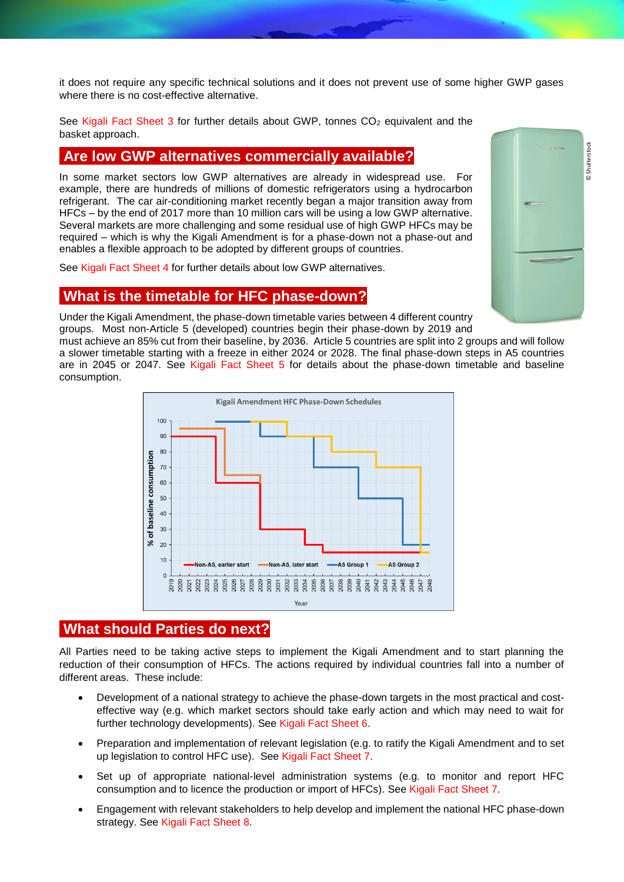it does not require any specific technical solutions and it does not prevent use of some higher GWP gases where there is no cost-effective alternative.

See Kigali Fact Sheet 3 for further details about GWP, tonnes  $CO<sub>2</sub>$  equivalent and the basket approach.

#### **Are low GWP alternatives commercially available?**

In some market sectors low GWP alternatives are already in widespread use. For example, there are hundreds of millions of domestic refrigerators using a hydrocarbon refrigerant. The car air-conditioning market recently began a major transition away from HFCs – by the end of 2017 more than 10 million cars will be using a low GWP alternative. Several markets are more challenging and some residual use of high GWP HFCs may be required – which is why the Kigali Amendment is for a phase-down not a phase-out and enables a flexible approach to be adopted by different groups of countries.

See Kigali Fact Sheet 4 for further details about low GWP alternatives.

#### **What is the timetable for HFC phase-down?**

Under the Kigali Amendment, the phase-down timetable varies between 4 different country groups. Most non-Article 5 (developed) countries begin their phase-down by 2019 and

must achieve an 85% cut from their baseline, by 2036. Article 5 countries are split into 2 groups and will follow a slower timetable starting with a freeze in either 2024 or 2028. The final phase-down steps in A5 countries are in 2045 or 2047. See Kigali Fact Sheet 5 for details about the phase-down timetable and baseline consumption.



#### **What should Parties do next?**

All Parties need to be taking active steps to implement the Kigali Amendment and to start planning the reduction of their consumption of HFCs. The actions required by individual countries fall into a number of different areas. These include:

- Development of a national strategy to achieve the phase-down targets in the most practical and costeffective way (e.g. which market sectors should take early action and which may need to wait for further technology developments). See Kigali Fact Sheet 6.
- Preparation and implementation of relevant legislation (e.g. to ratify the Kigali Amendment and to set up legislation to control HFC use). See Kigali Fact Sheet 7.
- Set up of appropriate national-level administration systems (e.g. to monitor and report HFC consumption and to licence the production or import of HFCs). See Kigali Fact Sheet 7.
- Engagement with relevant stakeholders to help develop and implement the national HFC phase-down strategy. See Kigali Fact Sheet 8.

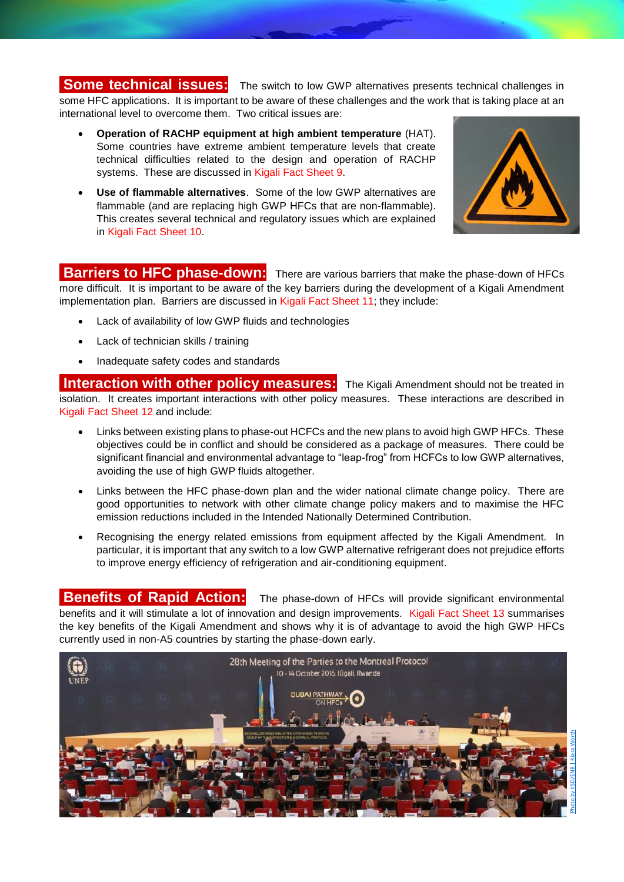**Some technical issues:** The switch to low GWP alternatives presents technical challenges in some HFC applications. It is important to be aware of these challenges and the work that is taking place at an international level to overcome them. Two critical issues are:

- **Operation of RACHP equipment at high ambient temperature** (HAT). Some countries have extreme ambient temperature levels that create technical difficulties related to the design and operation of RACHP systems. These are discussed in Kigali Fact Sheet 9.
- **Use of flammable alternatives**. Some of the low GWP alternatives are flammable (and are replacing high GWP HFCs that are non-flammable). This creates several technical and regulatory issues which are explained in Kigali Fact Sheet 10.



#### **Barriers to HFC phase-down:** There are various barriers that make the phase-down of HFCs

more difficult. It is important to be aware of the key barriers during the development of a Kigali Amendment implementation plan. Barriers are discussed in Kigali Fact Sheet 11; they include:

- Lack of availability of low GWP fluids and technologies
- Lack of technician skills / training
- Inadequate safety codes and standards

**Interaction with other policy measures:** The Kigali Amendment should not be treated in isolation. It creates important interactions with other policy measures. These interactions are described in Kigali Fact Sheet 12 and include:

- Links between existing plans to phase-out HCFCs and the new plans to avoid high GWP HFCs. These objectives could be in conflict and should be considered as a package of measures. There could be significant financial and environmental advantage to "leap-frog" from HCFCs to low GWP alternatives, avoiding the use of high GWP fluids altogether.
- Links between the HFC phase-down plan and the wider national climate change policy. There are good opportunities to network with other climate change policy makers and to maximise the HFC emission reductions included in the Intended Nationally Determined Contribution.
- Recognising the energy related emissions from equipment affected by the Kigali Amendment. In particular, it is important that any switch to a low GWP alternative refrigerant does not prejudice efforts to improve energy efficiency of refrigeration and air-conditioning equipment.

**Benefits of Rapid Action:** The phase-down of HFCs will provide significant environmental benefits and it will stimulate a lot of innovation and design improvements. Kigali Fact Sheet 13 summarises the key benefits of the Kigali Amendment and shows why it is of advantage to avoid the high GWP HFCs currently used in non-A5 countries by starting the phase-down early.